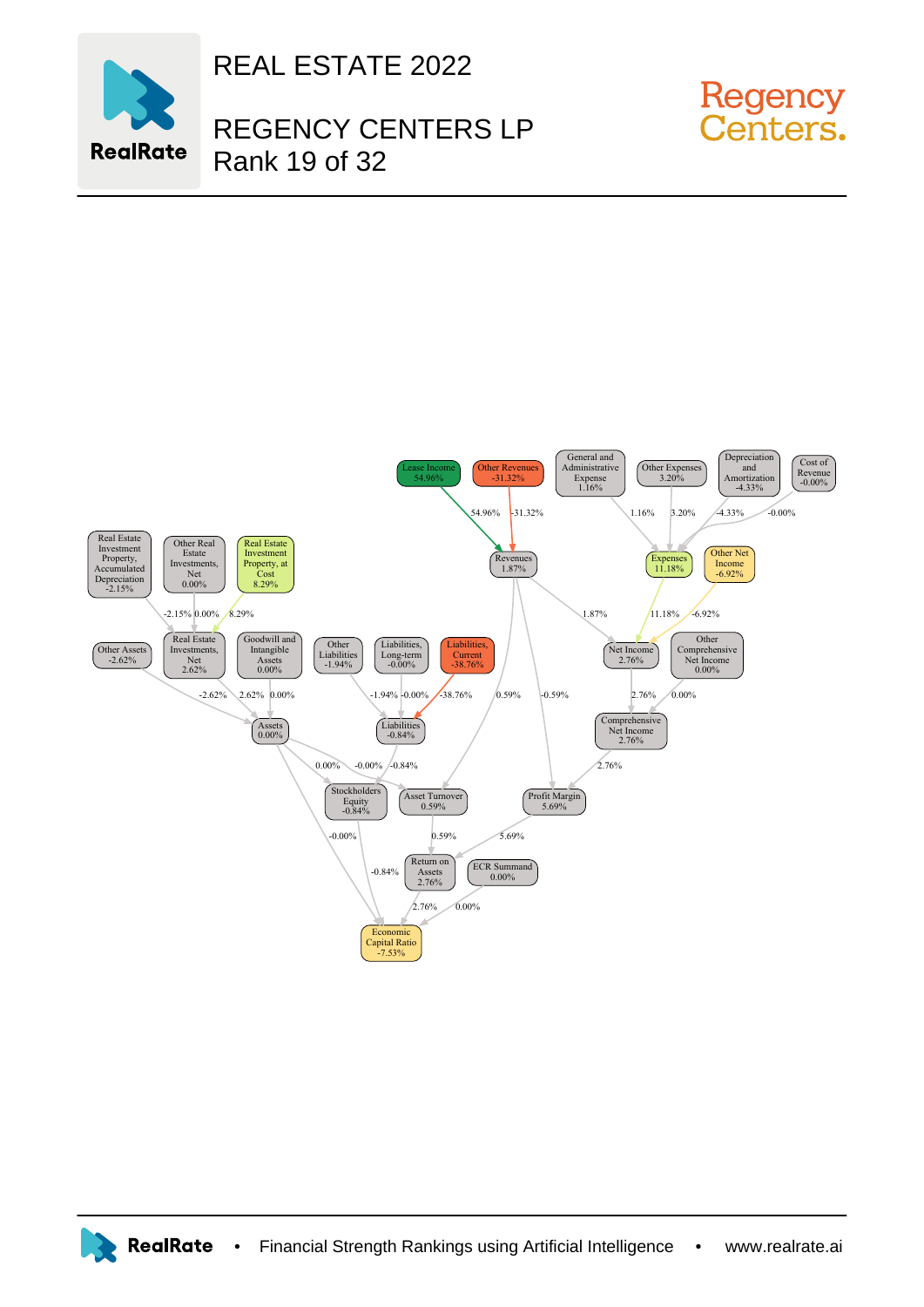

REAL ESTATE 2022

## REGENCY CENTERS LP Rank 19 of 32